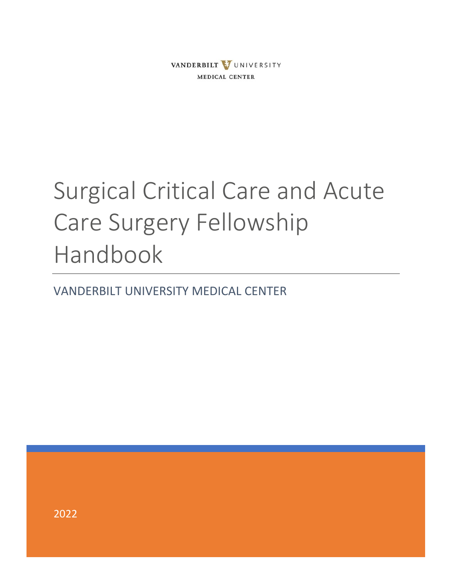

# Surgical Critical Care and Acute Care Surgery Fellowship Handbook

VANDERBILT UNIVERSITY MEDICAL CENTER

2022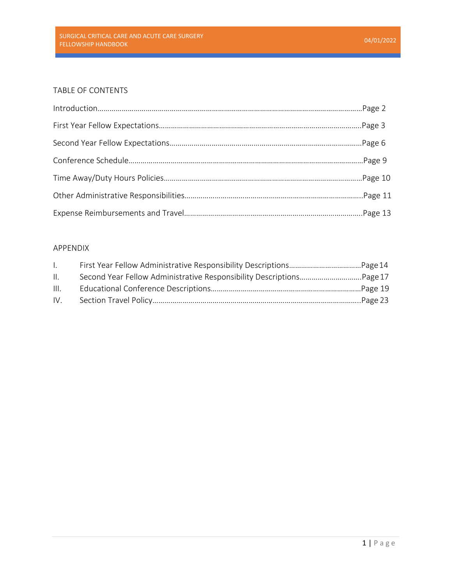# TABLE OF CONTENTS

# APPENDIX

| $\mathbf{L}$ |                                                                      |  |
|--------------|----------------------------------------------------------------------|--|
| II.          | Second Year Fellow Administrative Responsibility DescriptionsPage 17 |  |
| III.         |                                                                      |  |
| IV.          |                                                                      |  |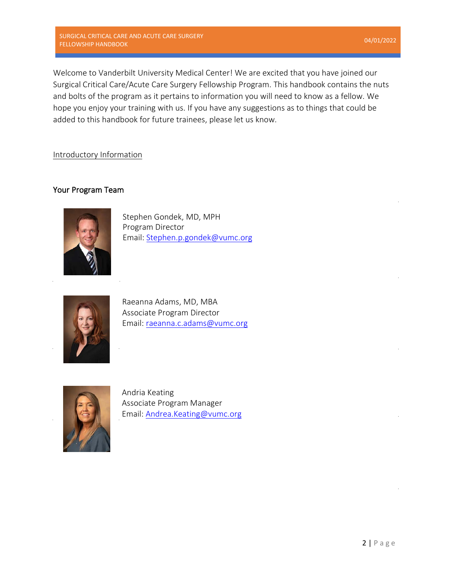SURGICAL CRITICAL CARE AND ACUTE CARE SURGERY SUNGICAL CRITICAL CARE AND ACUTE CARE SUNGENT<br>FELLOWSHIP HANDBOOK 04/01/2022

Welcome to Vanderbilt University Medical Center! We are excited that you have joined our Surgical Critical Care/Acute Care Surgery Fellowship Program. This handbook contains the nuts and bolts of the program as it pertains to information you will need to know as a fellow. We hope you enjoy your training with us. If you have any suggestions as to things that could be added to this handbook for future trainees, please let us know.

# Introductory Information

# Your Program Team



Stephen Gondek, MD, MPH Program [Director](mailto:raeanna.c.adams@vumc.org) Email: [Stephen.p.gondek@vumc.org](mailto:mStephen.p.gondek@vumc.org)



Raea[nna Adams, MD, MBA](mailto:Stephen.p.gondek@vumc.org) Associate Program Director Email: [raeanna.c.adams@vumc.org](mailto:raeanna.c.adams@vumc.org)



Andria Keating Associate Program Manager Email: [Andrea.Keating@vumc.org](mailto:Andrea.Keating@vumc.org)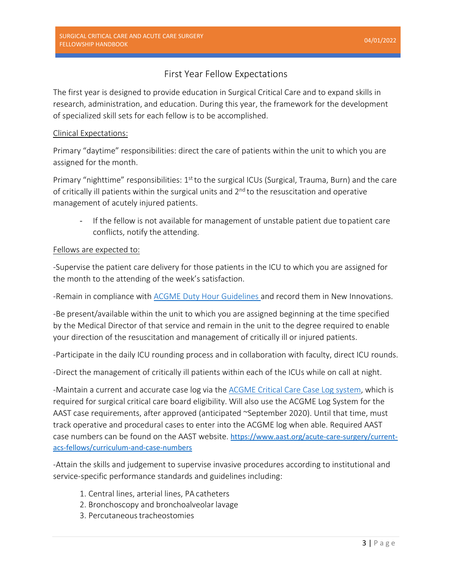# First Year Fellow Expectations

The first year is designed to provide education in Surgical Critical Care and to expand skills in research, administration, and education. During this year, the framework for the development of specialized skill sets for each fellow is to be accomplished.

# Clinical Expectations:

Primary "daytime" responsibilities: direct the care of patients within the unit to which you are assigned for the month.

Primary "nighttime" responsibilities: 1<sup>st</sup> to the surgical ICUs (Surgical, Trauma, Burn) and the care of critically ill patients within the surgical units and  $2<sup>nd</sup>$  to the resuscitation and operative management of acutely injured patients.

- If the fellow is not available for management of unstable patient due topatient care conflicts, notify the attending.

# Fellows are expected to:

-Supervise the patient care delivery for those patients in the ICU to which you are assigned for the month to the attending of the week's satisfaction.

-Remain in compliance with [ACGME Duty Hour Guidelines a](https://www.acgme.org/Portals/0/PFAssets/ProgramRequirements/CPRFellowship2019.pdf)nd record them in New Innovations.

-Be present/available within the unit to which you are assigned beginning at the time specified by the Medical Director of that service and remain in the unit to the degree required to enable your direction of the resuscitation and management of critically ill or injured patients.

-Participate in the daily ICU rounding process and in collaboration with faculty, direct ICU rounds.

-Direct the management of critically ill patients within each of the ICUs while on call at night.

-Maintain a current and accurate case log via the [ACGME Critical Care Case Log system,](https://apps.acgme.org/connect/login?ReturnUrl=%252fconnect&ReturnUrl=%252fconnect) which is required for surgical critical care board eligibility. Will also use the ACGME Log System for the AAST case requirements, after approved (anticipated ~September 2020). Until that time, must track operative and procedural cases to enter into the ACGME log when able. Required AAST case numbers can be found on the AAST website. [https://www.aast.org/acute-care-surgery/current](https://www.aast.org/acute-care-surgery/current-acs-fellows/curriculum-and-case-numbers)[acs-fellows/curriculum-and-case-numbers](https://www.aast.org/acute-care-surgery/current-acs-fellows/curriculum-and-case-numbers)

-Attain the skills and judgement to supervise invasive procedures according to institutional and service-specific performance standards and guidelines including:

- 1. Central lines, arterial lines, PA catheters
- 2. Bronchoscopy and bronchoalveolar lavage
- 3. Percutaneous tracheostomies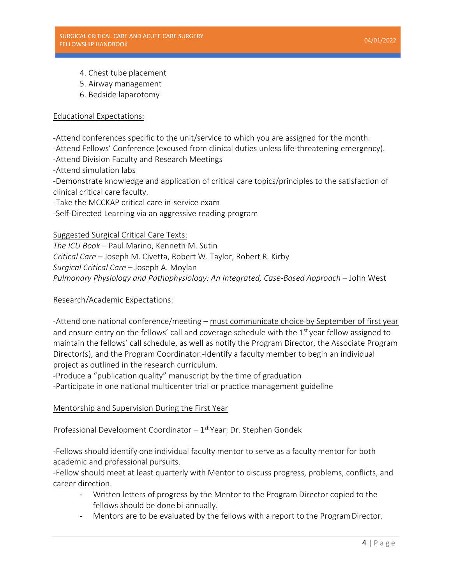- 4. Chest tube placement
- 5. Airway management
- 6. Bedside laparotomy

# Educational Expectations:

-Attend conferences specific to the unit/service to which you are assigned for the month. -Attend Fellows' Conference (excused from clinical duties unless life-threatening emergency).

-Attend Division Faculty and Research Meetings

-Attend simulation labs

-Demonstrate knowledge and application of critical care topics/principles to the satisfaction of clinical critical care faculty.

-Take the MCCKAP critical care in-service exam

-Self-Directed Learning via an aggressive reading program

# Suggested Surgical Critical Care Texts:

*The ICU Book* – Paul Marino, Kenneth M. Sutin *Critical Care* – Joseph M. Civetta, Robert W. Taylor, Robert R. Kirby *Surgical Critical Care* – Joseph A. Moylan *Pulmonary Physiology and Pathophysiology: An Integrated, Case-Based Approach – John West* 

# Research/Academic Expectations:

-Attend one national conference/meeting – must communicate choice by September of first year and ensure entry on the fellows' call and coverage schedule with the 1<sup>st</sup> year fellow assigned to maintain the fellows' call schedule, as well as notify the Program Director, the Associate Program Director(s), and the Program Coordinator.-Identify a faculty member to begin an individual project as outlined in the research curriculum.

-Produce a "publication quality" manuscript by the time of graduation

-Participate in one national multicenter trial or practice management guideline

# Mentorship and Supervision During the First Year

# Professional Development Coordinator – 1st Year: Dr. Stephen Gondek

-Fellows should identify one individual faculty mentor to serve as a faculty mentor for both academic and professional pursuits.

-Fellow should meet at least quarterly with Mentor to discuss progress, problems, conflicts, and career direction.

- Written letters of progress by the Mentor to the Program Director copied to the fellows should be done bi-annually.
- Mentors are to be evaluated by the fellows with a report to the Program Director.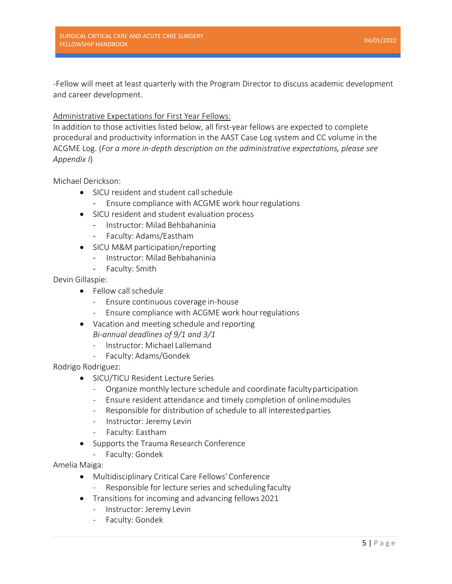-Fellow will meet at least quarterly with the Program Director to discuss academic development and career development.

# Administrative Expectations for First Year Fellows:

In addition to those activities listed below, all first-year fellows are expected to complete procedural and productivity information in the AAST Case Log system and CC volume in the ACGME Log. (*For a more in-depth description on the administrative expectations, please see Appendix I*)

Michael Derickson:

- SICU resident and student callschedule
	- Ensure compliance with ACGME work hour regulations
- SICU resident and student evaluation process
	- Instructor: Milad Behbahaninia
	- Faculty: Adams/Eastham
- SICU M&M participation/reporting
	- Instructor: Milad Behbahaninia
	- Faculty: Smith

Devin Gillaspie:

- Fellow call schedule
	- Ensure continuous coverage in-house
	- Ensure compliance with ACGME work hourregulations
- Vacation and meeting schedule and reporting *Bi-annual deadlines of 9/1 and 3/1*
	- Instructor: Michael Lallemand
	- Faculty: Adams/Gondek

Rodrigo Rodriguez:

- SICU/TICU Resident Lecture Series
	- Organize monthly lecture schedule and coordinate facultyparticipation
	- Ensure resident attendance and timely completion of onlinemodules
	- Responsible for distribution of schedule to all interested parties
	- Instructor: Jeremy Levin
	- Faculty: Eastham
- Supports the Trauma Research Conference
	- Faculty: Gondek

Amelia Maiga:

- Multidisciplinary Critical Care Fellows' Conference
	- Responsible for lecture series and scheduling faculty
- Transitions for incoming and advancing fellows 2021
	- Instructor: Jeremy Levin
	- Faculty: Gondek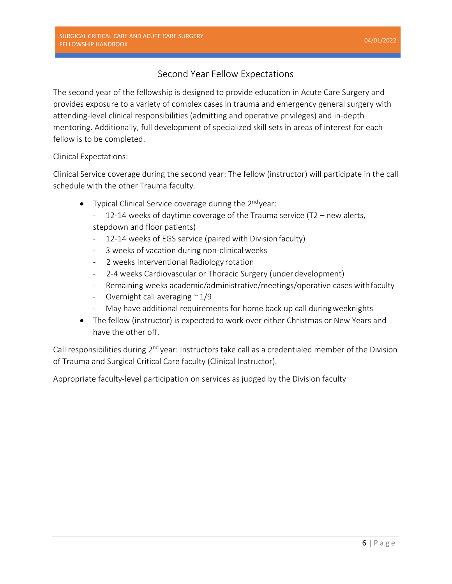# Second Year Fellow Expectations

The second year of the fellowship is designed to provide education in Acute Care Surgery and provides exposure to a variety of complex cases in trauma and emergency general surgery with attending-level clinical responsibilities (admitting and operative privileges) and in-depth mentoring. Additionally, full development of specialized skill sets in areas of interest for each fellow is to be completed.

# Clinical Expectations:

Clinical Service coverage during the second year: The fellow (instructor) will participate in the call schedule with the other Trauma faculty.

- Typical Clinical Service coverage during the  $2^{nd}$ year:
	- 12-14 weeks of daytime coverage of the Trauma service (T2 new alerts, stepdown and floor patients)
	- 12-14 weeks of EGS service (paired with Division faculty)
	- 3 weeks of vacation during non-clinical weeks
	- 2 weeks Interventional Radiology rotation
	- 2-4 weeks Cardiovascular or Thoracic Surgery (under development)
	- Remaining weeks academic/administrative/meetings/operative cases withfaculty
	- Overnight call averaging  $\approx 1/9$
	- May have additional requirements for home back up call during weeknights
- The fellow (instructor) is expected to work over either Christmas or New Years and have the other off.

Call responsibilities during 2<sup>nd</sup> year: Instructors take call as a credentialed member of the Division of Trauma and Surgical Critical Care faculty (Clinical Instructor).

Appropriate faculty-level participation on services as judged by the Division faculty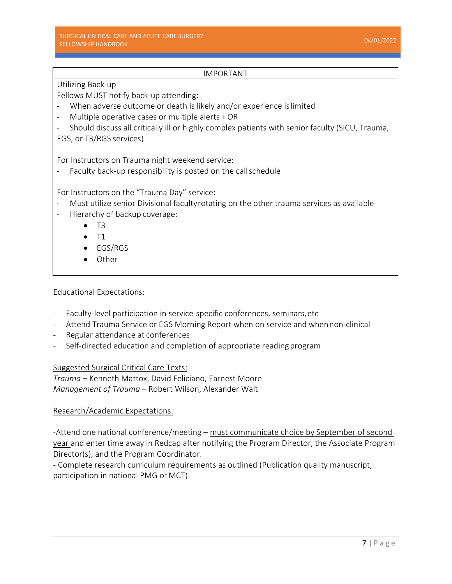# IMPORTANT

# Utilizing Back-up

Fellows MUST notify back-up attending:

- When adverse outcome or death is likely and/or experience islimited
- Multiple operative cases or multiple alerts  $+OR$
- Should discuss all critically ill or highly complex patients with senior faculty (SICU, Trauma, EGS, or T3/RGS services)

For Instructors on Trauma night weekend service:

Faculty back-up responsibility is posted on the call schedule

For Instructors on the "Trauma Day" service:

- Must utilize senior Divisional facultyrotating on the other trauma services as available
- Hierarchy of backup coverage:
	- $\bullet$  T<sub>3</sub>
	- $\bullet$  T1
	- EGS/RGS
	- Other

# Educational Expectations:

- Faculty-level participation in service-specific conferences, seminars,etc
- Attend Trauma Service or EGS Morning Report when on service and whennon-clinical
- Regular attendance at conferences
- Self-directed education and completion of appropriate reading program

Suggested Surgical Critical Care Texts:

*Trauma* – Kenneth Mattox, David Feliciano, Earnest Moore *Management of Trauma* – Robert Wilson, Alexander Walt

# Research/Academic Expectations:

-Attend one national conference/meeting – must communicate choice by September of second year and enter time away in Redcap after notifying the Program Director, the Associate Program Director(s), and the Program Coordinator.

- Complete research curriculum requirements as outlined (Publication quality manuscript, participation in national PMG or MCT)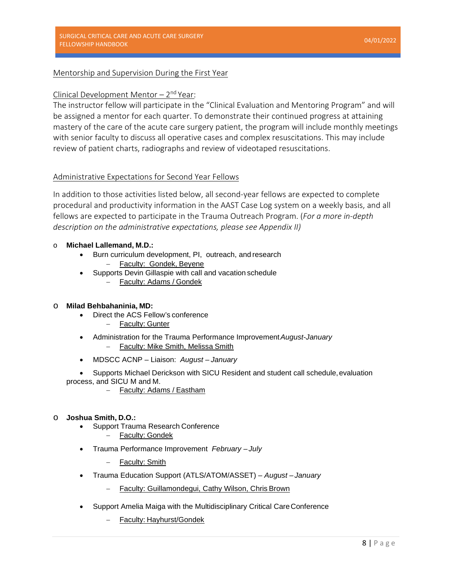# Mentorship and Supervision During the First Year

### Clinical Development Mentor  $-2<sup>nd</sup>$  Year:

The instructor fellow will participate in the "Clinical Evaluation and Mentoring Program" and will be assigned a mentor for each quarter. To demonstrate their continued progress at attaining mastery of the care of the acute care surgery patient, the program will include monthly meetings with senior faculty to discuss all operative cases and complex resuscitations. This may include review of patient charts, radiographs and review of videotaped resuscitations.

# Administrative Expectations for Second Year Fellows

In addition to those activities listed below, all second-year fellows are expected to complete procedural and productivity information in the AAST Case Log system on a weekly basis, and all fellows are expected to participate in the Trauma Outreach Program. (*For a more in-depth description on the administrative expectations, please see Appendix II)*

#### o **Michael Lallemand, M.D.:**

- Burn curriculum development, PI, outreach, and research
	- Faculty: Gondek, Beyene
- Supports Devin Gillaspie with call and vacation schedule
	- − Faculty: Adams / Gondek

#### o **Milad Behbahaninia, MD:**

- Direct the ACS Fellow's conference
	- Faculty: Gunter
- Administration for the Trauma Performance Improvement*August-January* Faculty: Mike Smith, Melissa Smith
- MDSCC ACNP Liaison: *August – January*
- Supports Michael Derickson with SICU Resident and student call schedule, evaluation process, and SICU M and M.
	- − Faculty: Adams / Eastham

#### o **Joshua Smith, D.O.:**

- Support Trauma Research Conference
	- − Faculty: Gondek
- Trauma Performance Improvement *February – July*
	- − Faculty: Smith
- Trauma Education Support (ATLS/ATOM/ASSET) *August – January*
	- − Faculty: Guillamondegui, Cathy Wilson, Chris Brown
- Support Amelia Maiga with the Multidisciplinary Critical CareConference
	- − Faculty: Hayhurst/Gondek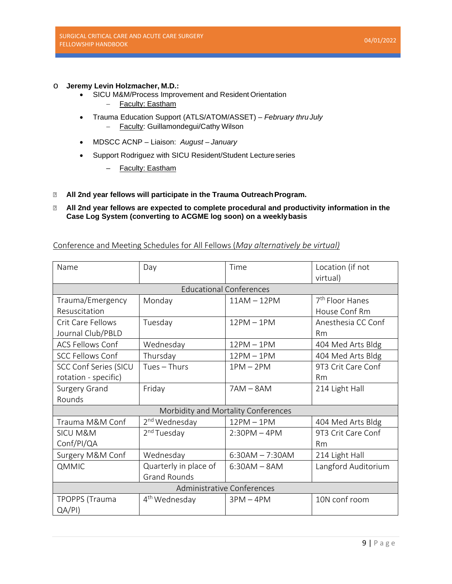# o **Jeremy Levin Holzmacher, M.D.:**

- SICU M&M/Process Improvement and Resident Orientation − Faculty: Eastham
- Trauma Education Support (ATLS/ATOM/ASSET) *February thruJuly* − Faculty: Guillamondegui/Cathy Wilson
- MDSCC ACNP Liaison: *August – January*
- Support Rodriguez with SICU Resident/Student Lectureseries
	- Faculty: Eastham
- **All 2nd year fellows will participate in the Trauma OutreachProgram.**

### **All 2nd year fellows are expected to complete procedural and productivity information in the Case Log System (converting to ACGME log soon) on a weeklybasis**

# Conference and Meeting Schedules for All Fellows (*May alternatively be virtual)*

| Name                         | Day                       | Time                                | Location (if not<br>virtual) |
|------------------------------|---------------------------|-------------------------------------|------------------------------|
|                              |                           | <b>Educational Conferences</b>      |                              |
| Trauma/Emergency             | Monday                    | $11AM - 12PM$                       | 7 <sup>th</sup> Floor Hanes  |
| Resuscitation                |                           |                                     | House Conf Rm                |
| Crit Care Fellows            | Tuesday                   | $12PM - 1PM$                        | Anesthesia CC Conf           |
| Journal Club/PBLD            |                           |                                     | <b>Rm</b>                    |
| <b>ACS Fellows Conf</b>      | Wednesday                 | $12PM - 1PM$                        | 404 Med Arts Bldg            |
| <b>SCC Fellows Conf</b>      | Thursday                  | $12PM - 1PM$                        | 404 Med Arts Bldg            |
| <b>SCC Conf Series (SICU</b> | Tues - Thurs              | $1PM - 2PM$                         | 9T3 Crit Care Conf           |
| rotation - specific)         |                           |                                     | Rm                           |
| Surgery Grand                | Friday                    | $7AM - 8AM$                         | 214 Light Hall               |
| Rounds                       |                           |                                     |                              |
|                              |                           | Morbidity and Mortality Conferences |                              |
| Trauma M&M Conf              | 2 <sup>nd</sup> Wednesday | $12PM - 1PM$                        | 404 Med Arts Bldg            |
| <b>SICU M&amp;M</b>          | 2 <sup>nd</sup> Tuesday   | $2:30PM - 4PM$                      | 9T3 Crit Care Conf           |
| Conf/PI/QA                   |                           |                                     | <b>Rm</b>                    |
| Surgery M&M Conf             | Wednesday                 | $6:30AM - 7:30AM$                   | 214 Light Hall               |
| QMMIC                        | Quarterly in place of     | $6:30AM - 8AM$                      | Langford Auditorium          |
|                              | <b>Grand Rounds</b>       |                                     |                              |
| Administrative Conferences   |                           |                                     |                              |
| <b>TPOPPS</b> (Trauma        | 4 <sup>th</sup> Wednesday | $3PM - 4PM$                         | 10N conf room                |
| QA/PI)                       |                           |                                     |                              |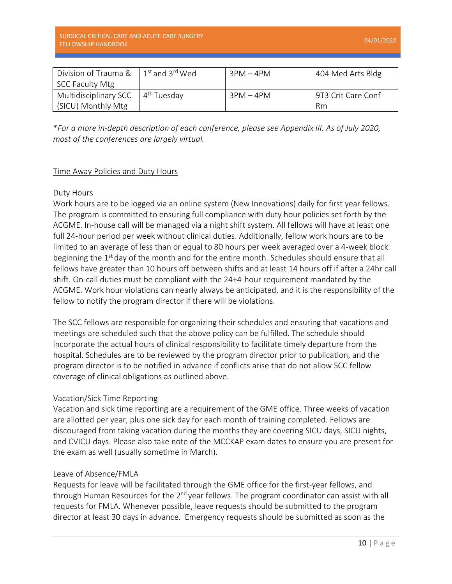| Division of Trauma &   | $1^{st}$ and 3 <sup>rd</sup> Wed | $3PM - 4PM$ | 404 Med Arts Bldg  |
|------------------------|----------------------------------|-------------|--------------------|
| <b>SCC Faculty Mtg</b> |                                  |             |                    |
| Multidisciplinary SCC  | 4 <sup>th</sup> Tuesdav          | $3PM - 4PM$ | 9T3 Crit Care Conf |
| (SICU) Monthly Mtg     |                                  |             | Rm                 |

\**For a more in-depth description of each conference, please see Appendix III. As of July 2020, most of the conferences are largely virtual.* 

# Time Away Policies and Duty Hours

# Duty Hours

Work hours are to be logged via an online system (New Innovations) daily for first year fellows. The program is committed to ensuring full compliance with duty hour policies set forth by the ACGME. In-house call will be managed via a night shift system. All fellows will have at least one full 24-hour period per week without clinical duties. Additionally, fellow work hours are to be limited to an average of less than or equal to 80 hours per week averaged over a 4-week block beginning the  $1<sup>st</sup>$  day of the month and for the entire month. Schedules should ensure that all fellows have greater than 10 hours off between shifts and at least 14 hours off if after a 24hr call shift. On-call duties must be compliant with the 24+4-hour requirement mandated by the ACGME. Work hour violations can nearly always be anticipated, and it is the responsibility of the fellow to notify the program director if there will be violations.

The SCC fellows are responsible for organizing their schedules and ensuring that vacations and meetings are scheduled such that the above policy can be fulfilled. The schedule should incorporate the actual hours of clinical responsibility to facilitate timely departure from the hospital. Schedules are to be reviewed by the program director prior to publication, and the program director is to be notified in advance if conflicts arise that do not allow SCC fellow coverage of clinical obligations as outlined above.

# Vacation/Sick Time Reporting

Vacation and sick time reporting are a requirement of the GME office. Three weeks of vacation are allotted per year, plus one sick day for each month of training completed. Fellows are discouraged from taking vacation during the months they are covering SICU days, SICU nights, and CVICU days. Please also take note of the MCCKAP exam dates to ensure you are present for the exam as well (usually sometime in March).

# Leave of Absence/FMLA

Requests for leave will be facilitated through the GME office for the first-year fellows, and through Human Resources for the  $2<sup>nd</sup>$  year fellows. The program coordinator can assist with all requests for FMLA. Whenever possible, leave requests should be submitted to the program director at least 30 days in advance. Emergency requests should be submitted as soon as the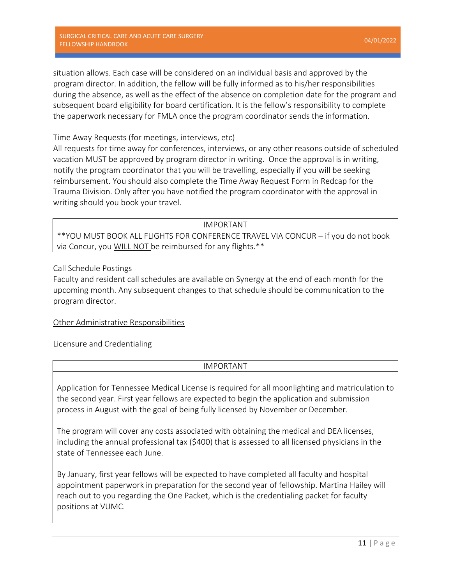situation allows. Each case will be considered on an individual basis and approved by the program director. In addition, the fellow will be fully informed as to his/her responsibilities during the absence, as well as the effect of the absence on completion date for the program and subsequent board eligibility for board certification. It is the fellow's responsibility to complete the paperwork necessary for FMLA once the program coordinator sends the information.

Time Away Requests (for meetings, interviews, etc)

All requests for time away for conferences, interviews, or any other reasons outside of scheduled vacation MUST be approved by program director in writing. Once the approval is in writing, notify the program coordinator that you will be travelling, especially if you will be seeking reimbursement. You should also complete the Time Away Request Form in Redcap for the Trauma Division. Only after you have notified the program coordinator with the approval in writing should you book your travel.

IMPORTANT

\*\*YOU MUST BOOK ALL FLIGHTS FOR CONFERENCE TRAVEL VIA CONCUR – if you do not book via Concur, you WILL NOT be reimbursed for any flights.\*\*

Call Schedule Postings

Faculty and resident call schedules are available on Synergy at the end of each month for the upcoming month. Any subsequent changes to that schedule should be communication to the program director.

# Other Administrative Responsibilities

Licensure and Credentialing

# IMPORTANT

Application for Tennessee Medical License is required for all moonlighting and matriculation to the second year. First year fellows are expected to begin the application and submission process in August with the goal of being fully licensed by November or December.

The program will cover any costs associated with obtaining the medical and DEA licenses, including the annual professional tax (\$400) that is assessed to all licensed physicians in the state of Tennessee each June.

By January, first year fellows will be expected to have completed all faculty and hospital appointment paperwork in preparation for the second year of fellowship. Martina Hailey will reach out to you regarding the One Packet, which is the credentialing packet for faculty positions at VUMC.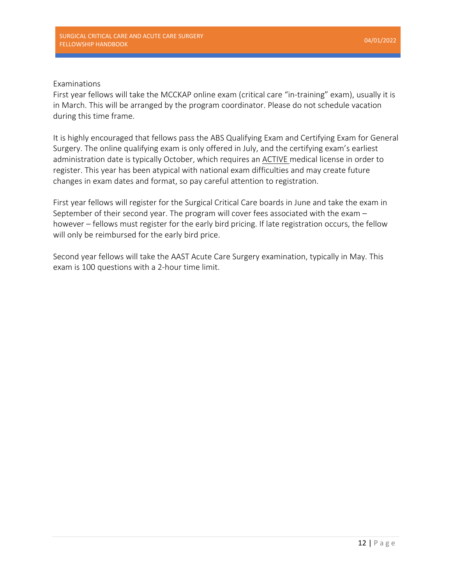# Examinations

First year fellows will take the MCCKAP online exam (critical care "in-training" exam), usually it is in March. This will be arranged by the program coordinator. Please do not schedule vacation during this time frame.

It is highly encouraged that fellows pass the ABS Qualifying Exam and Certifying Exam for General Surgery. The online qualifying exam is only offered in July, and the certifying exam's earliest administration date is typically October, which requires an ACTIVE medical license in order to register. This year has been atypical with national exam difficulties and may create future changes in exam dates and format, so pay careful attention to registration.

First year fellows will register for the Surgical Critical Care boards in June and take the exam in September of their second year. The program will cover fees associated with the exam – however – fellows must register for the early bird pricing. If late registration occurs, the fellow will only be reimbursed for the early bird price.

Second year fellows will take the AAST Acute Care Surgery examination, typically in May. This exam is 100 questions with a 2-hour time limit.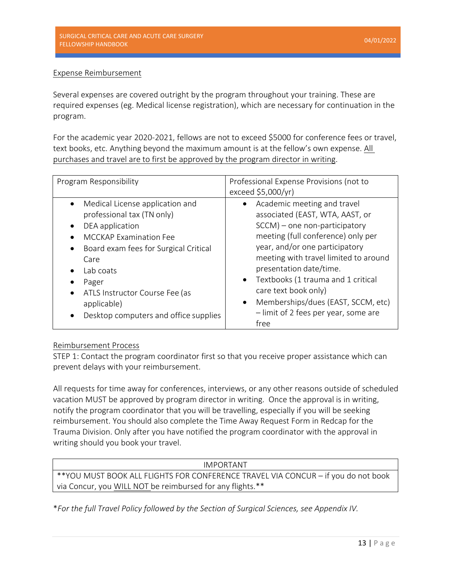# Expense Reimbursement

Several expenses are covered outright by the program throughout your training. These are required expenses (eg. Medical license registration), which are necessary for continuation in the program.

For the academic year 2020-2021, fellows are not to exceed \$5000 for conference fees or travel, text books, etc. Anything beyond the maximum amount is at the fellow's own expense. All purchases and travel are to first be approved by the program director in writing.

| Program Responsibility                                                                                                                                                                                                                                                                          | Professional Expense Provisions (not to<br>exceed \$5,000/yr)                                                                                                                                                                                                                                                                                                                                                                             |
|-------------------------------------------------------------------------------------------------------------------------------------------------------------------------------------------------------------------------------------------------------------------------------------------------|-------------------------------------------------------------------------------------------------------------------------------------------------------------------------------------------------------------------------------------------------------------------------------------------------------------------------------------------------------------------------------------------------------------------------------------------|
| Medical License application and<br>professional tax (TN only)<br>DEA application<br><b>MCCKAP Examination Fee</b><br>Board exam fees for Surgical Critical<br>Care<br>Lab coats<br>Pager<br>ATLS Instructor Course Fee (as<br>$\bullet$<br>applicable)<br>Desktop computers and office supplies | Academic meeting and travel<br>$\bullet$<br>associated (EAST, WTA, AAST, or<br>$SCCM$ ) – one non-participatory<br>meeting (full conference) only per<br>year, and/or one participatory<br>meeting with travel limited to around<br>presentation date/time.<br>Textbooks (1 trauma and 1 critical<br>$\bullet$<br>care text book only)<br>Memberships/dues (EAST, SCCM, etc)<br>$\bullet$<br>- limit of 2 fees per year, some are<br>free |

# Reimbursement Process

STEP 1: Contact the program coordinator first so that you receive proper assistance which can prevent delays with your reimbursement.

All requests for time away for conferences, interviews, or any other reasons outside of scheduled vacation MUST be approved by program director in writing. Once the approval is in writing, notify the program coordinator that you will be travelling, especially if you will be seeking reimbursement. You should also complete the Time Away Request Form in Redcap for the Trauma Division. Only after you have notified the program coordinator with the approval in writing should you book your travel.

| IMPORTANT                                                                         |
|-----------------------------------------------------------------------------------|
| **YOU MUST BOOK ALL FLIGHTS FOR CONFERENCE TRAVEL VIA CONCUR - if you do not book |
| via Concur, you WILL NOT be reimbursed for any flights.**                         |

\**For the full Travel Policy followed by the Section of Surgical Sciences, see Appendix IV.*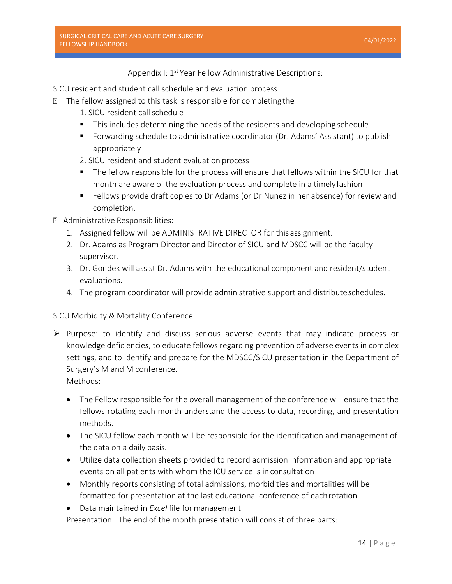# Appendix I: 1<sup>st</sup> Year Fellow Administrative Descriptions:

SICU resident and student call schedule and evaluation process

- **The fellow assigned to this task is responsible for completing the** 
	- 1. SICU resident callschedule
	- $\blacksquare$  This includes determining the needs of the residents and developing schedule
	- Forwarding schedule to administrative coordinator (Dr. Adams' Assistant) to publish appropriately
	- 2. SICU resident and student evaluation process
	- The fellow responsible for the process will ensure that fellows within the SICU for that month are aware of the evaluation process and complete in a timelyfashion
	- Fellows provide draft copies to Dr Adams (or Dr Nunez in her absence) for review and completion.
- Administrative Responsibilities:
	- 1. Assigned fellow will be ADMINISTRATIVE DIRECTOR for this assignment.
	- 2. Dr. Adams as Program Director and Director of SICU and MDSCC will be the faculty supervisor.
	- 3. Dr. Gondek will assist Dr. Adams with the educational component and resident/student evaluations.
	- 4. The program coordinator will provide administrative support and distributeschedules.

# SICU Morbidity & Mortality Conference

 $\triangleright$  Purpose: to identify and discuss serious adverse events that may indicate process or knowledge deficiencies, to educate fellows regarding prevention of adverse events in complex settings, and to identify and prepare for the MDSCC/SICU presentation in the Department of Surgery's M and M conference.

Methods:

- The Fellow responsible for the overall management of the conference will ensure that the fellows rotating each month understand the access to data, recording, and presentation methods.
- The SICU fellow each month will be responsible for the identification and management of the data on a daily basis.
- Utilize data collection sheets provided to record admission information and appropriate events on all patients with whom the ICU service is in consultation
- Monthly reports consisting of total admissions, morbidities and mortalities will be formatted for presentation at the last educational conference of eachrotation.
- Data maintained in *Excel* file formanagement.

Presentation: The end of the month presentation will consist of three parts: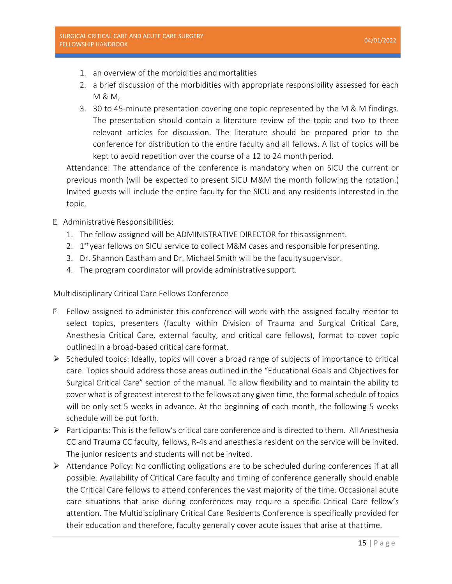- 1. an overview of the morbidities and mortalities
- 2. a brief discussion of the morbidities with appropriate responsibility assessed for each M & M,
- 3. 30 to 45-minute presentation covering one topic represented by the M & M findings. The presentation should contain a literature review of the topic and two to three relevant articles for discussion. The literature should be prepared prior to the conference for distribution to the entire faculty and all fellows. A list of topics will be kept to avoid repetition over the course of a 12 to 24 month period.

Attendance: The attendance of the conference is mandatory when on SICU the current or previous month (will be expected to present SICU M&M the month following the rotation.) Invited guests will include the entire faculty for the SICU and any residents interested in the topic.

- Administrative Responsibilities:
	- 1. The fellow assigned will be ADMINISTRATIVE DIRECTOR for thisassignment.
	- 2.  $1<sup>st</sup>$  year fellows on SICU service to collect M&M cases and responsible for presenting.
	- 3. Dr. Shannon Eastham and Dr. Michael Smith will be the faculty supervisor.
	- 4. The program coordinator will provide administrative support.

### Multidisciplinary Critical Care Fellows Conference

- **If** Fellow assigned to administer this conference will work with the assigned faculty mentor to select topics, presenters (faculty within Division of Trauma and Surgical Critical Care, Anesthesia Critical Care, external faculty, and critical care fellows), format to cover topic outlined in a broad-based critical care format.
- $\triangleright$  Scheduled topics: Ideally, topics will cover a broad range of subjects of importance to critical care. Topics should address those areas outlined in the "Educational Goals and Objectives for Surgical Critical Care" section of the manual. To allow flexibility and to maintain the ability to cover what is of greatest interest to the fellows at any given time, the formalschedule of topics will be only set 5 weeks in advance. At the beginning of each month, the following 5 weeks schedule will be put forth.
- $\triangleright$  Participants: This is the fellow's critical care conference and is directed to them. All Anesthesia CC and Trauma CC faculty, fellows, R-4s and anesthesia resident on the service will be invited. The junior residents and students will not be invited.
- $\triangleright$  Attendance Policy: No conflicting obligations are to be scheduled during conferences if at all possible. Availability of Critical Care faculty and timing of conference generally should enable the Critical Care fellows to attend conferences the vast majority of the time. Occasional acute care situations that arise during conferences may require a specific Critical Care fellow's attention. The Multidisciplinary Critical Care Residents Conference is specifically provided for their education and therefore, faculty generally cover acute issues that arise at thattime.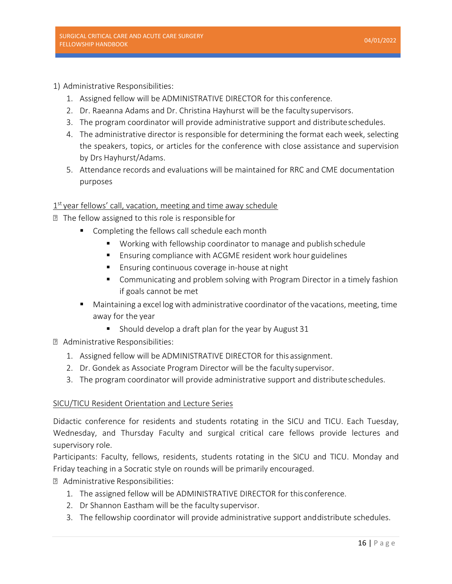- 1) Administrative Responsibilities:
	- 1. Assigned fellow will be ADMINISTRATIVE DIRECTOR for this conference.
	- 2. Dr. Raeanna Adams and Dr. Christina Hayhurst will be the faculty supervisors.
	- 3. The program coordinator will provide administrative support and distributeschedules.
	- 4. The administrative director is responsible for determining the format each week, selecting the speakers, topics, or articles for the conference with close assistance and supervision by Drs Hayhurst/Adams.
	- 5. Attendance records and evaluations will be maintained for RRC and CME documentation purposes

# $1<sup>st</sup>$  year fellows' call, vacation, meeting and time away schedule

- The fellow assigned to this role is responsible for
	- Completing the fellows call schedule each month
		- Working with fellowship coordinator to manage and publish schedule
		- **Ensuring compliance with ACGME resident work hour guidelines**
		- **Ensuring continuous coverage in-house at night**
		- **E** Communicating and problem solving with Program Director in a timely fashion if goals cannot be met
	- Maintaining a excel log with administrative coordinator of the vacations, meeting, time away for the year
		- Should develop a draft plan for the year by August 31
- Administrative Responsibilities:
	- 1. Assigned fellow will be ADMINISTRATIVE DIRECTOR for this assignment.
	- 2. Dr. Gondek as Associate Program Director will be the faculty supervisor.
	- 3. The program coordinator will provide administrative support and distributeschedules.

# SICU/TICU Resident Orientation and Lecture Series

Didactic conference for residents and students rotating in the SICU and TICU. Each Tuesday, Wednesday, and Thursday Faculty and surgical critical care fellows provide lectures and supervisory role.

Participants: Faculty, fellows, residents, students rotating in the SICU and TICU. Monday and Friday teaching in a Socratic style on rounds will be primarily encouraged.

- Administrative Responsibilities:
	- 1. The assigned fellow will be ADMINISTRATIVE DIRECTOR for this conference.
	- 2. Dr Shannon Eastham will be the faculty supervisor.
	- 3. The fellowship coordinator will provide administrative support anddistribute schedules.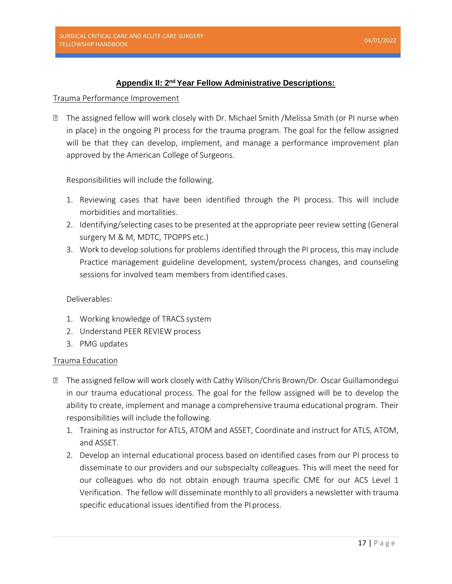# **Appendix II: 2nd Year Fellow Administrative Descriptions:**

#### Trauma Performance Improvement

 The assigned fellow will work closely with Dr. Michael Smith /Melissa Smith (or PI nurse when in place) in the ongoing PI process for the trauma program. The goal for the fellow assigned will be that they can develop, implement, and manage a performance improvement plan approved by the American College of Surgeons.

Responsibilities will include the following.

- 1. Reviewing cases that have been identified through the PI process. This will include morbidities and mortalities.
- 2. Identifying/selecting cases to be presented at the appropriate peer review setting (General surgery M & M, MDTC, TPOPPS etc.)
- 3. Work to develop solutions for problems identified through the PI process, this may include Practice management guideline development, system/process changes, and counseling sessions for involved team members from identified cases.

# Deliverables:

- 1. Working knowledge of TRACS system
- 2. Understand PEER REVIEW process
- 3. PMG updates

# Trauma Education

- The assigned fellow will work closely with Cathy Wilson/Chris Brown/Dr. Oscar Guillamondegui in our trauma educational process. The goal for the fellow assigned will be to develop the ability to create, implement and manage a comprehensive trauma educational program. Their responsibilities will include the following.
	- 1. Training as instructor for ATLS, ATOM and ASSET, Coordinate and instruct for ATLS, ATOM, and ASSET.
	- 2. Develop an internal educational process based on identified cases from our PI process to disseminate to our providers and our subspecialty colleagues. This will meet the need for our colleagues who do not obtain enough trauma specific CME for our ACS Level 1 Verification. The fellow will disseminate monthly to all providers a newsletter with trauma specific educational issues identified from the PI process.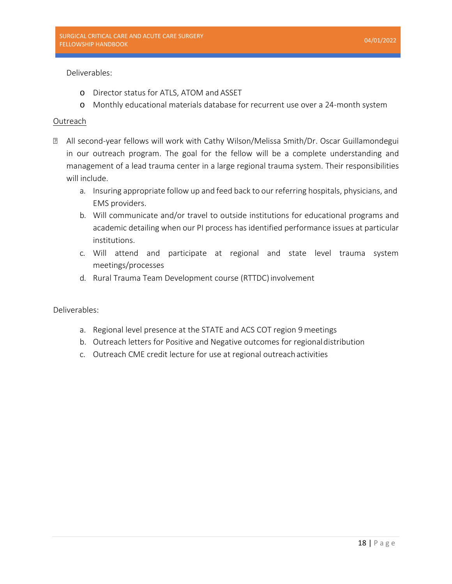Deliverables:

- o Director status for ATLS, ATOM and ASSET
- o Monthly educational materials database for recurrent use over a 24-month system

#### Outreach

- All second-year fellows will work with Cathy Wilson/Melissa Smith/Dr. Oscar Guillamondegui in our outreach program. The goal for the fellow will be a complete understanding and management of a lead trauma center in a large regional trauma system. Their responsibilities will include.
	- a. Insuring appropriate follow up and feed back to our referring hospitals, physicians, and EMS providers.
	- b. Will communicate and/or travel to outside institutions for educational programs and academic detailing when our PI process has identified performance issues at particular institutions.
	- c. Will attend and participate at regional and state level trauma system meetings/processes
	- d. Rural Trauma Team Development course (RTTDC) involvement

Deliverables:

- a. Regional level presence at the STATE and ACS COT region 9meetings
- b. Outreach letters for Positive and Negative outcomes for regionaldistribution
- c. Outreach CME credit lecture for use at regional outreach activities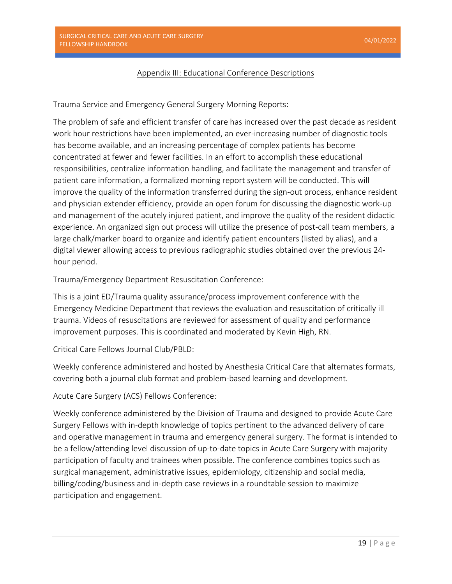# Appendix III: Educational Conference Descriptions

Trauma Service and Emergency General Surgery Morning Reports:

The problem of safe and efficient transfer of care has increased over the past decade as resident work hour restrictions have been implemented, an ever-increasing number of diagnostic tools has become available, and an increasing percentage of complex patients has become concentrated at fewer and fewer facilities. In an effort to accomplish these educational responsibilities, centralize information handling, and facilitate the management and transfer of patient care information, a formalized morning report system will be conducted. This will improve the quality of the information transferred during the sign-out process, enhance resident and physician extender efficiency, provide an open forum for discussing the diagnostic work-up and management of the acutely injured patient, and improve the quality of the resident didactic experience. An organized sign out process will utilize the presence of post-call team members, a large chalk/marker board to organize and identify patient encounters (listed by alias), and a digital viewer allowing access to previous radiographic studies obtained over the previous 24 hour period.

Trauma/Emergency Department Resuscitation Conference:

This is a joint ED/Trauma quality assurance/process improvement conference with the Emergency Medicine Department that reviews the evaluation and resuscitation of critically ill trauma. Videos of resuscitations are reviewed for assessment of quality and performance improvement purposes. This is coordinated and moderated by Kevin High, RN.

Critical Care Fellows Journal Club/PBLD:

Weekly conference administered and hosted by Anesthesia Critical Care that alternates formats, covering both a journal club format and problem-based learning and development.

Acute Care Surgery (ACS) Fellows Conference:

Weekly conference administered by the Division of Trauma and designed to provide Acute Care Surgery Fellows with in-depth knowledge of topics pertinent to the advanced delivery of care and operative management in trauma and emergency general surgery. The format is intended to be a fellow/attending level discussion of up-to-date topics in Acute Care Surgery with majority participation of faculty and trainees when possible. The conference combines topics such as surgical management, administrative issues, epidemiology, citizenship and social media, billing/coding/business and in-depth case reviews in a roundtable session to maximize participation and engagement.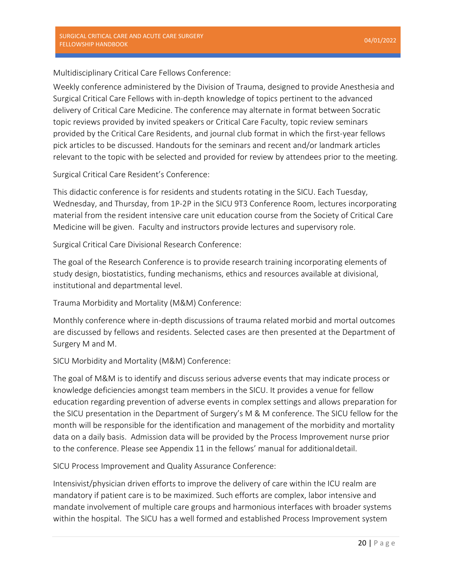Multidisciplinary Critical Care Fellows Conference:

Weekly conference administered by the Division of Trauma, designed to provide Anesthesia and Surgical Critical Care Fellows with in-depth knowledge of topics pertinent to the advanced delivery of Critical Care Medicine. The conference may alternate in format between Socratic topic reviews provided by invited speakers or Critical Care Faculty, topic review seminars provided by the Critical Care Residents, and journal club format in which the first-year fellows pick articles to be discussed. Handouts for the seminars and recent and/or landmark articles relevant to the topic with be selected and provided for review by attendees prior to the meeting.

Surgical Critical Care Resident's Conference:

This didactic conference is for residents and students rotating in the SICU. Each Tuesday, Wednesday, and Thursday, from 1P-2P in the SICU 9T3 Conference Room, lectures incorporating material from the resident intensive care unit education course from the Society of Critical Care Medicine will be given. Faculty and instructors provide lectures and supervisory role.

Surgical Critical Care Divisional Research Conference:

The goal of the Research Conference is to provide research training incorporating elements of study design, biostatistics, funding mechanisms, ethics and resources available at divisional, institutional and departmental level.

Trauma Morbidity and Mortality (M&M) Conference:

Monthly conference where in-depth discussions of trauma related morbid and mortal outcomes are discussed by fellows and residents. Selected cases are then presented at the Department of Surgery M and M.

SICU Morbidity and Mortality (M&M) Conference:

The goal of M&M is to identify and discuss serious adverse events that may indicate process or knowledge deficiencies amongst team members in the SICU. It provides a venue for fellow education regarding prevention of adverse events in complex settings and allows preparation for the SICU presentation in the Department of Surgery's M & M conference. The SICU fellow for the month will be responsible for the identification and management of the morbidity and mortality data on a daily basis. Admission data will be provided by the Process Improvement nurse prior to the conference. Please see Appendix 11 in the fellows' manual for additionaldetail.

SICU Process Improvement and Quality Assurance Conference:

Intensivist/physician driven efforts to improve the delivery of care within the ICU realm are mandatory if patient care is to be maximized. Such efforts are complex, labor intensive and mandate involvement of multiple care groups and harmonious interfaces with broader systems within the hospital. The SICU has a well formed and established Process Improvement system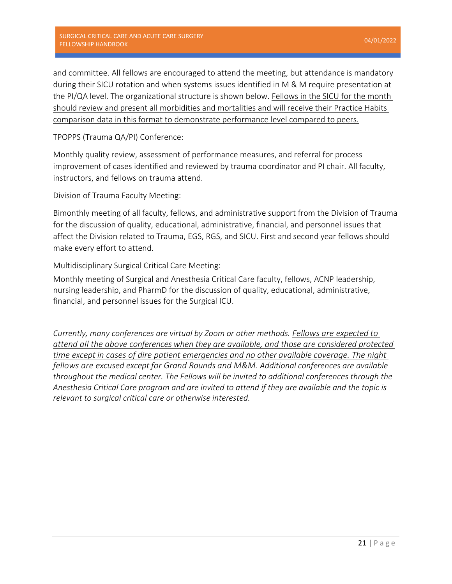and committee. All fellows are encouraged to attend the meeting, but attendance is mandatory during their SICU rotation and when systems issues identified in M & M require presentation at the PI/QA level. The organizational structure is shown below. Fellows in the SICU for the month should review and present all morbidities and mortalities and will receive their Practice Habits comparison data in this format to demonstrate performance level compared to peers.

TPOPPS (Trauma QA/PI) Conference:

Monthly quality review, assessment of performance measures, and referral for process improvement of cases identified and reviewed by trauma coordinator and PI chair. All faculty, instructors, and fellows on trauma attend.

Division of Trauma Faculty Meeting:

Bimonthly meeting of all faculty, fellows, and administrative support from the Division of Trauma for the discussion of quality, educational, administrative, financial, and personnel issues that affect the Division related to Trauma, EGS, RGS, and SICU. First and second year fellows should make every effort to attend.

Multidisciplinary Surgical Critical Care Meeting:

Monthly meeting of Surgical and Anesthesia Critical Care faculty, fellows, ACNP leadership, nursing leadership, and PharmD for the discussion of quality, educational, administrative, financial, and personnel issues for the Surgical ICU.

*Currently, many conferences are virtual by Zoom or other methods. Fellows are expected to attend all the above conferences when they are available, and those are considered protected time except in cases of dire patient emergencies and no other available coverage. The night fellows are excused except for Grand Rounds and M&M. Additional conferences are available throughout the medical center. The Fellows will be invited to additional conferences through the Anesthesia Critical Care program and are invited to attend if they are available and the topic is relevant to surgical critical care or otherwise interested.*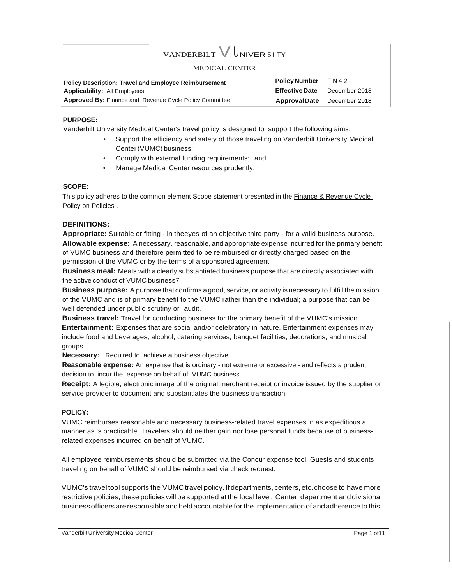# VANDERBILT  $V$  UNIVER 51 TY

#### MEDICAL CENTER

| <b>Policy Description: Travel and Employee Reimbursement</b>   | <b>Policy Number</b>               | FIN 4.2       |
|----------------------------------------------------------------|------------------------------------|---------------|
| <b>Applicability: All Employees</b>                            | <b>Effective Date</b>              | December 2018 |
| <b>Approved By: Finance and Revenue Cycle Policy Committee</b> | <b>Approval Date</b> December 2018 |               |

#### **PURPOSE:**

Vanderbilt University Medical Center's travel policy is designed to support the following aims:

- Support the efficiency and safety of those traveling on Vanderbilt University Medical Center(VUMC) business;
- Comply with external funding requirements; and
- Manage Medical Center resources prudently.

#### **SCOPE:**

This policy adheres to the common element Scope statement presented in the Finance & Revenue Cycle Policy on Policies .

#### **DEFINITIONS:**

**Appropriate:** Suitable or fitting - in theeyes of an objective third party - for a valid business purpose. **Allowable expense:** A necessary, reasonable, and appropriate expense incurred for the primary benefit of VUMC business and therefore permitted to be reimbursed or directly charged based on the permission of the VUMC or by the terms of a sponsored agreement.

**Business meal:** Meals with a clearly substantiated business purpose that are directly associated with the active conduct of VUMC business7

**Business purpose:** A purpose that confirms a good, service, or activity is necessary to fulfill the mission of the VUMC and is of primary benefit to the VUMC rather than the individual; a purpose that can be well defended under public scrutiny or audit.

**Business travel:** Travel for conducting business for the primary benefit of the VUMC's mission. **Entertainment:** Expenses that are social and/or celebratory in nature. Entertainment expenses may include food and beverages, alcohol, catering services, banquet facilities, decorations, and musical groups.

**Necessary:** Required to achieve **a** business objective.

**Reasonable expense:** An expense that is ordinary - not extreme or excessive - and reflects a prudent decision to incur the expense on behalf of VUMC business.

**Receipt:** A legible, electronic image of the original merchant receipt or invoice issued by the supplier or service provider to document and substantiates the business transaction.

#### **POLICY:**

VUMC reimburses reasonable and necessary business-related travel expenses in as expeditious a manner as is practicable. Travelers should neither gain nor lose personal funds because of businessrelated expenses incurred on behalf of VUMC.

All employee reimbursements should be submitted via the Concur expense tool. Guests and students traveling on behalf of VUMC should be reimbursed via check request.

VUMC's travel tool supports the VUMC travel policy.If departments, centers, etc.choose to have more restrictive policies,these policies will be supported at the local level. Center, department anddivisional business officers are responsible and held accountable for the implementation of and adherence to this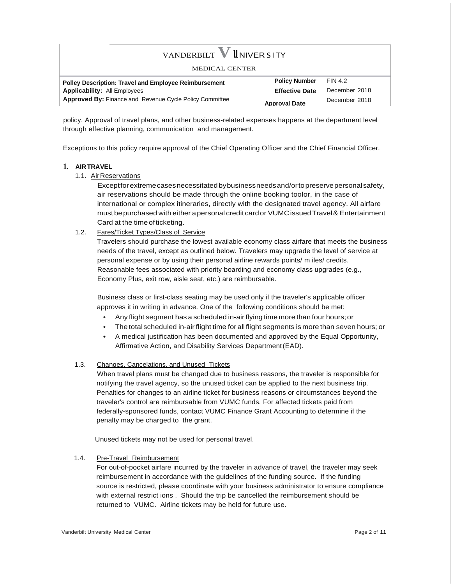| VANDERBILT V UNIVER SITY<br>MEDICAL CENTER                     |                       |                |
|----------------------------------------------------------------|-----------------------|----------------|
| <b>Polley Description: Travel and Employee Reimbursement</b>   | <b>Policy Number</b>  | <b>FIN 4.2</b> |
| <b>Applicability: All Employees</b>                            | <b>Effective Date</b> | December 2018  |
| <b>Approved By: Finance and Revenue Cycle Policy Committee</b> | <b>Approval Date</b>  | December 2018  |

policy. Approval of travel plans, and other business-related expenses happens at the department level through effective planning, communication and management.

Exceptions to this policy require approval of the Chief Operating Officer and the Chief Financial Officer.

#### **1. AIRTRAVEL**

1.1. AirReservations

Exceptforextremecasesnecessitatedbybusinessneedsand/ortopreservepersonalsafety, air reservations should be made through the online booking toolor, in the case of international or complex itineraries, directly with the designated travel agency. All airfare must bepurchased with either apersonal credit cardor VUMCissuedTravel& Entertainment Card at the timeofticketing.

1.2. Fares/Ticket Types/Class of Service

Travelers should purchase the lowest available economy class airfare that meets the business needs of the travel, except as outlined below. Travelers may upgrade the level of service at personal expense or by using their personal airline rewards points/ m iles/ credits. Reasonable fees associated with priority boarding and economy class upgrades (e.g., Economy Plus, exit row, aisle seat, etc.) are reimbursable.

Business class or first-class seating may be used only if the traveler's applicable officer approves it in writing in advance. One of the following conditions should be met:

- Any flight segment has a scheduled in-air flying time more than four hours;or
- The totalscheduled in-air flight time for all flight segments is more than seven hours; or
- A medical justification has been documented and approved by the Equal Opportunity, Affirmative Action, and Disability Services Department(EAD).

# 1.3. Changes, Cancelations, and Unused Tickets

When travel plans must be changed due to business reasons, the traveler is responsible for notifying the travel agency, so the unused ticket can be applied to the next business trip. Penalties for changes to an airline ticket for business reasons or circumstances beyond the traveler's control are reimbursable from VUMC funds. For affected tickets paid from federally-sponsored funds, contact VUMC Finance Grant Accounting to determine if the penalty may be charged to the grant.

Unused tickets may not be used for personal travel.

1.4. Pre-Travel Reimbursement

For out-of-pocket airfare incurred by the traveler in advance of travel, the traveler may seek reimbursement in accordance with the guidelines of the funding source. If the funding source is restricted, please coordinate with your business administrator to ensure compliance with external restrict ions . Should the trip be cancelled the reimbursement should be returned to VUMC. Airline tickets may be held for future use.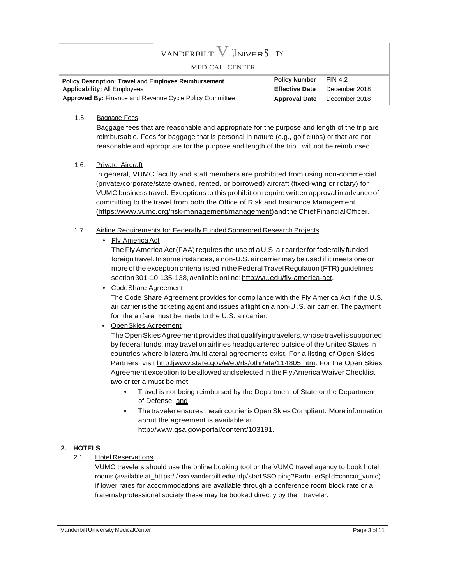# vanderbilt  ${\rm V}$  Univer S ty

#### MEDICAL CENTER

| <b>Policy Description: Travel and Employee Reimbursement</b>   | <b>Policy Number</b>               | <b>FIN 4.2</b> |
|----------------------------------------------------------------|------------------------------------|----------------|
| <b>Applicability: All Employees</b>                            | <b>Effective Date</b>              | December 2018  |
| <b>Approved By:</b> Finance and Revenue Cycle Policy Committee | <b>Approval Date</b> December 2018 |                |

#### 1.5. Baggage Fees

Baggage fees that are reasonable and appropriate for the purpose and length of the trip are reimbursable. Fees for baggage that is personal in nature (e.g., golf clubs) or that are not reasonable and appropriate for the purpose and length of the trip will not be reimbursed.

#### 1.6. Private Aircraft

In general, VUMC faculty and staff members are prohibited from using non-commercial (private/corporate/state owned, rented, or borrowed) aircraft (fixed-wing or rotary) for VUMC business travel. Exceptions to this prohibition require written approval in advance of committing to the travel from both the Office of Risk and Insurance Management [\(https://www.vumc.org/risk-management/management\)](http://www.vumc.org/risk-management/management))andthe ChiefFinancialOfficer.

#### 1.7. Airline Requirements for Federally Funded Sponsored Research Projects

# • Fly America Act

The Fly America Act (FAA) requires the use of a U.S. air carrier for federally funded foreign travel.In someinstances, a non-U.S. aircarrier maybe used if it meets one or more of the exception criteria listed in the Federal Travel Regulation (FTR) guidelines section 301-10.135-138, available online: http://vu.edu/fly-america-act.

• CodeShare Agreement

The Code Share Agreement provides for compliance with the Fly America Act if the U.S. air carrier is the ticketing agent and issues a flight on a non-U .S. air carrier. The payment for the airfare must be made to the U.S. air carrier.

### • OpenSkies Agreement

TheOpenSkiesAgreement provides thatqualifyingtravelers, whosetravel issupported by federal funds, may travel on airlines headquartered outside of the UnitedStates in countries where bilateral/multilateral agreements exist. For a listing of Open Skies Partners, visit [http:ljwww.state.gov/e/eb/rls/othr/ata/114805.htm.](http://www.state.gov/e/eb/rls/othr/ata/114805.htm) For the Open Skies Agreement exception to be allowed and selected in the Fly America Waiver Checklist, two criteria must be met:

- Travel is not being reimbursed by the Department of State or the Department of Defense; and
- The traveler ensures the air courier is Open Skies Compliant. More information about the agreement is available at [http://www.gsa.gov/portal/content/103191.](http://www.gsa.gov/portal/content/103191)

#### **2. HOTELS**

#### 2.1. Hotel Reservations

VUMC travelers should use the online booking tool or the VUMC travel agency to book hotel rooms (available at\_htt ps:/ / sso.vanderbilt.edu/ idp/startSSO.ping?Partn erSpld=concur\_vumc). If lower rates for accommodations are available through a conference room block rate or a fraternal/professional society these may be booked directly by the traveler.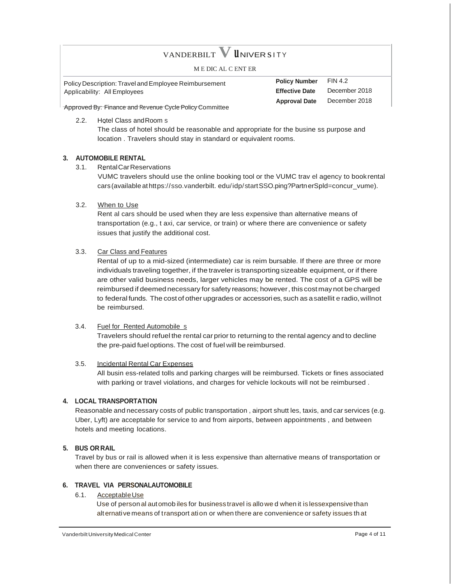# VANDERBILT **V <sup>u</sup>** NIVER <sup>s</sup><sup>I</sup> <sup>T</sup> <sup>Y</sup>

M E DIC AL C ENT ER

Policy Description: Travel and Employee Reimbursement Applicability: All Employees

**Policy Number Effective Date Approval Date** FIN 4.2 December 2018 December 2018

Approved By: Finance and Revenue Cycle Policy Committee

2.2. Hotel Class andRoom s

The class of hotel should be reasonable and appropriate for the busine ss purpose and location . Travelers should stay in standard or equivalent rooms.

#### **3. AUTOMOBILE RENTAL**

3.1. RentalCarReservations

VUMC travelers should use the online booking tool or the VUMC trav el agency to book rental cars(available athttps://sso.vanderbilt. edu/idp/startSSO.ping?PartnerSpld=concur\_vume).

3.2. When to Use

Rent al cars should be used when they are less expensive than alternative means of transportation (e.g., t axi, car service, or train) or where there are convenience or safety issues that justify the additional cost.

#### 3.3. Car Class and Features

Rental of up to a mid-sized (intermediate) car is reim bursable. If there are three or more individuals traveling together, if the traveler is transporting sizeable equipment, or if there are other valid business needs, larger vehicles may be rented. The cost of a GPS will be reimbursed if deemed necessary for safety reasons; however, this costmaynot becharged to federal funds. The cost of other upgrades or accessories, such as a satellit e radio, willnot be reimbursed.

#### 3.4. Fuel for Rented Automobile s

Travelers should refuel the rental carprior to returning to the rental agency and to decline the pre-paid fuel options. The cost of fuel will be reimbursed.

#### 3.5. Incidental Rental Car Expenses

All busin ess-related tolls and parking charges will be reimbursed. Tickets or fines associated with parking or travel violations, and charges for vehicle lockouts will not be reimbursed .

#### **4. LOCAL TRANSPORTATION**

Reasonable and necessary costs of public transportation , airport shutt les, taxis, and car services (e.g. Uber, Lyft) are acceptable for service to and from airports, between appointments , and between hotels and meeting locations.

#### **5. BUS OR RAIL**

Travel by bus or rail is allowed when it is less expensive than alternative means of transportation or when there are conveniences or safety issues.

#### **6. TRAVEL VIA PERSONALAUTOMOBILE**

6.1. AcceptableUse

Use of person al automob iles for business travel is allowe d when it is lessexpensivethan alternative means of transport ation or when there are convenience or safety issues th at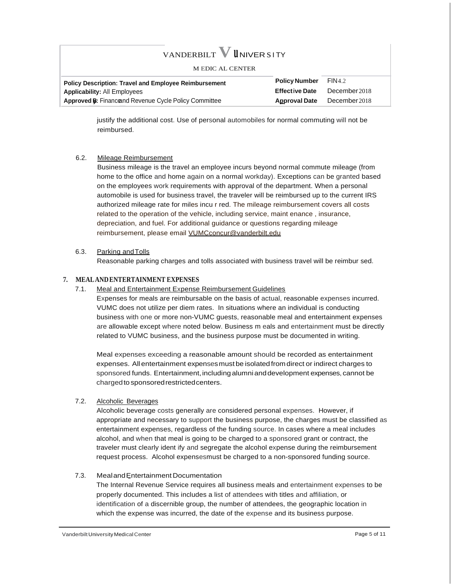# **VANDERBILT V UNIVER SITY**

#### M EDIC AL CENTER

| <b>Policy Description: Travel and Employee Reimbursement</b>  | <b>Policy Number</b>  | FIN4.2        |
|---------------------------------------------------------------|-----------------------|---------------|
| <b>Applicability: All Employees</b>                           | <b>Effective Date</b> | December 2018 |
| <b>Approved B:</b> Finance and Revenue Cycle Policy Committee | <b>Approval Date</b>  | December 2018 |
|                                                               |                       |               |

justify the additional cost. Use of personal automobiles for normal commuting will not be reimbursed.

#### 6.2. Mileage Reimbursement

Business mileage is the travel an employee incurs beyond normal commute mileage (from home to the office and home again on a normal workday). Exceptions can be granted based on the employees work requirements with approval of the department. When a personal automobile is used for business travel, the traveler will be reimbursed up to the current IRS authorized mileage rate for miles incu r red. The mileage reimbursement covers all costs related to the operation of the vehicle, including service, maint enance , insurance, depreciation, and fuel. For additional guidance or questions regarding mileage reimbursement, please email [VUMCconcur@vanderbilt.edu](mailto:VUMCconcur@vanderbilt.edu)

#### 6.3. Parking andTolls

Reasonable parking charges and tolls associated with business travel will be reimbur sed.

#### **7. MEALANDENTERTAINMENT EXPENSES**

7.1. Meal and Entertainment Expense Reimbursement Guidelines

Expenses for meals are reimbursable on the basis of actual, reasonable expenses incurred. VUMC does not utilize per diem rates. In situations where an individual is conducting business with one or more non-VUMC guests, reasonable meal and entertainment expenses are allowable except where noted below. Business m eals and entertainment must be directly related to VUMC business, and the business purpose must be documented in writing.

Meal expenses exceeding a reasonable amount should be recorded as entertainment expenses. All entertainment expensesmustbe isolated fromdirect or indirect charges to sponsored funds. Entertainment, including alumni and development expenses, cannot be chargedto sponsoredrestrictedcenters.

#### 7.2. Alcoholic Beverages

Alcoholic beverage costs generally are considered personal expenses. However, if appropriate and necessary to support the business purpose, the charges must be classified as entertainment expenses, regardless of the funding source. In cases where a meal includes alcohol, and when that meal is going to be charged to a sponsored grant or contract, the traveler must clearly ident ify and segregate the alcohol expense during the reimbursement request process. Alcohol expensesmust be charged to a non-sponsored funding source.

#### 7.3. MealandEntertainment Documentation

The Internal Revenue Service requires all business meals and entertainment expenses to be properly documented. This includes a list of attendees with titles and affiliation, or identification of a discernible group, the number of attendees, the geographic location in which the expense was incurred, the date of the expense and its business purpose.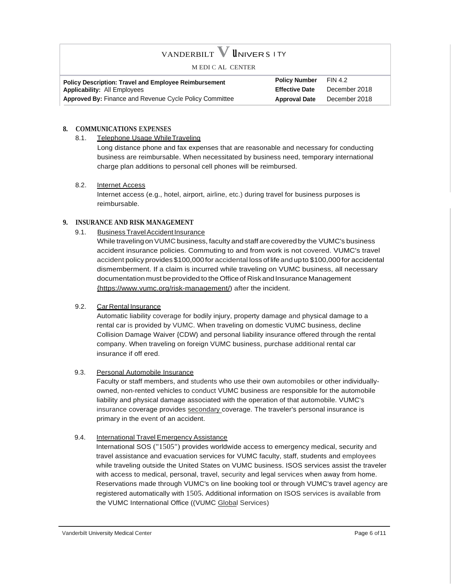# VANDERBILT **V <sup>u</sup>**NIVER <sup>s</sup> I TY M EDI C AL CENTER **Policy Description: Travel and Employee Reimbursement Policy Number** FIN 4.2<br> **Applicability:** All Employees **Property Applicability:** All Employees **Applicability: All Employees Approved By:** Finance and Revenue Cycle Policy Committee **Approval Date** December 2018

#### **8. COMMUNICATIONS EXPENSES**

8.1. Telephone Usage While Traveling

Long distance phone and fax expenses that are reasonable and necessary for conducting business are reimbursable. When necessitated by business need, temporary international charge plan additions to personal cell phones will be reimbursed.

#### 8.2. Internet Access

Internet access (e.g., hotel, airport, airline, etc.) during travel for business purposes is reimbursable.

#### **9. INSURANCE AND RISK MANAGEMENT**

9.1. Business Travel Accident Insurance

While traveling on VUMC business, faculty and staff are covered by the VUMC's business accident insurance policies. Commuting to and from work is not covered. VUMC's travel accident policy provides\$100,000for accidental loss of lifeandupto \$100,000 for accidental dismemberment. If a claim is incurred while traveling on VUMC business, all necessary documentation must be provided to the Office of Risk and Insurance Management [{https://www.vumc.org/risk-management/\)](http://www.vumc.org/risk-management/)) after the incident.

# 9.2. Car Rental Insurance

Automatic liability coverage for bodily injury, property damage and physical damage to a rental car is provided by VUMC. When traveling on domestic VUMC business, decline Collision Damage Waiver {CDW) and personal liability insurance offered through the rental company. When traveling on foreign VUMC business, purchase additional rental car insurance if off ered.

#### 9.3. Personal Automobile Insurance

Faculty or staff members, and students who use their own automobiles or other individuallyowned, non-rented vehicles to conduct VUMC business are responsible for the automobile liability and physical damage associated with the operation of that automobile. VUMC's insurance coverage provides secondary coverage. The traveler's personal insurance is primary in the event of an accident.

#### 9.4. International Travel Emergency Assistance

International SOS ("1505") provides worldwide access to emergency medical, security and travel assistance and evacuation services for VUMC faculty, staff, students and employees while traveling outside the United States on VUMC business. ISOS services assist the traveler with access to medical, personal, travel, security and legal services when away from home. Reservations made through VUMC's on line booking tool or through VUMC's travel agency are registered automatically with 1505. Additional information on ISOS services is available from the VUMC International Office ((VUMC Global Services)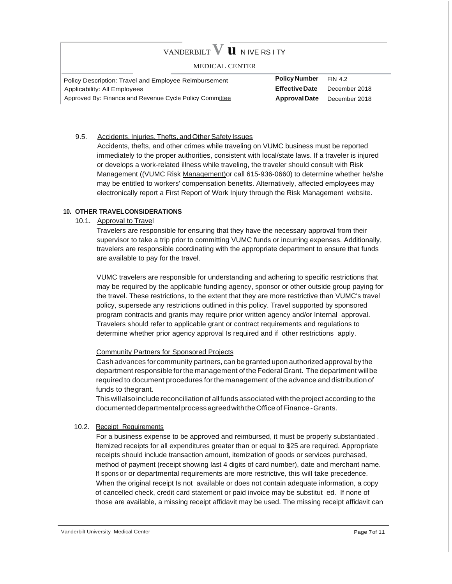#### $V$ ANDERBILT  $V$  **U** N IVE RS I TY MEDICAL CENTER Policy Description: Travel and Employee Reimbursement Applicability: All Employees Approved By: Finance and Revenue Cycle Policy Committee **Policy Number** FIN 4.2 **EffectiveDate** December 2018 **ApprovalDate** December 2018

#### 9.5. Accidents, Injuries, Thefts, and Other Safety Issues

Accidents, thefts, and other crimes while traveling on VUMC business must be reported immediately to the proper authorities, consistent with local/state laws. If a traveler is injured or develops a work-related illness while traveling, the traveler should consult with Risk Management ((VUMC Risk Management) or call 615-936-0660) to determine whether he/she may be entitled to workers' compensation benefits. Alternatively, affected employees may electronically report a First Report of Work Injury through the Risk Management website.

#### **10. OTHER TRAVELCONSIDERATIONS**

10.1. Approval to Travel

Travelers are responsible for ensuring that they have the necessary approval from their supervisor to take a trip prior to committing VUMC funds or incurring expenses. Additionally, travelers are responsible coordinating with the appropriate department to ensure that funds are available to pay for the travel.

VUMC travelers are responsible for understanding and adhering to specific restrictions that may be required by the applicable funding agency, sponsor or other outside group paying for the travel. These restrictions, to the extent that they are more restrictive than VUMC's travel policy, supersede any restrictions outlined in this policy. Travel supported by sponsored program contracts and grants may require prior written agency and/or Internal approval. Travelers should refer to applicable grant or contract requirements and regulations to determine whether prior agency approval Is required and if other restrictions apply.

#### Community Partners for Sponsored Projects

Cash advances for community partners, can begranted upon authorized approval by the department responsible forthe management ofthe FederalGrant. The department willbe required to document procedures for the management of the advance and distribution of funds to thegrant.

This willalsoinclude reconciliationof allfunds associated with the project according to the documented departmental process agreed with the Office of Finance - Grants.

#### 10.2. Receipt Requirements

For a business expense to be approved and reimbursed, it must be properly substantiated . Itemized receipts for all expenditures greater than or equal to \$25 are required. Appropriate receipts should include transaction amount, itemization of goods or services purchased, method of payment (receipt showing last 4 digits of card number), date and merchant name. If spons or or departmental requirements are more restrictive, this will take precedence. When the original receipt Is not available or does not contain adequate information, a copy of cancelled check, credit card statement or paid invoice may be substitut ed. If none of those are available, a missing receipt affidavit may be used. The missing receipt affidavit can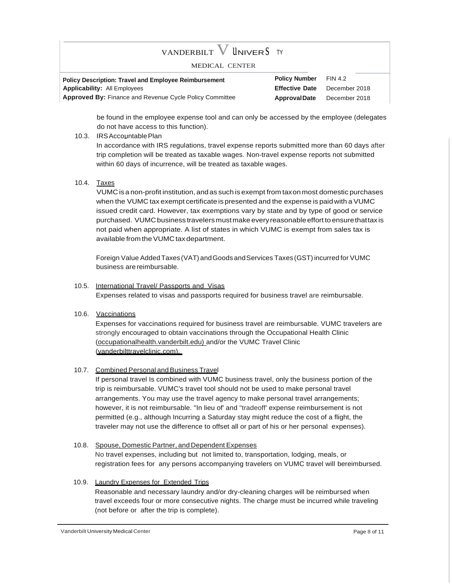# vanderbilt  ${\rm V}$  Univer  ${\rm S}$  ty

#### MEDICAL CENTER

**Policy Description: Travel and Employee Reimbursement Applicability:** All Employees **Approved By:** Finance and Revenue Cycle Policy Committee **Policy Number Effective Date ApprovalDate** FIN 4.2 December 2018 December 2018

be found in the employee expense tool and can only be accessed by the employee (delegates do not have access to this function).

10.3. IRSAccountablePlan

In accordance with IRS regulations, travel expense reports submitted more than 60 days after trip completion will be treated as taxable wages. Non-travel expense reports not submitted within 60 days of incurrence, will be treated as taxable wages.

10.4. Taxes

VUMC is a non-profit institution, and as such is exempt from taxon most domestic purchases when the VUMC tax exempt certificate is presented and the expense is paid with a VUMC issued credit card. However, tax exemptions vary by state and by type of good or service purchased. VUMC business travelers must make every reasonable effort to ensure that tax is not paid when appropriate. A list of states in which VUMC is exempt from sales tax is available from the VUMC tax department.

Foreign Value Added Taxes (VAT) and Goods and Services Taxes (GST) incurred for VUMC business are reimbursable.

#### 10.5. International Travel/ Passports and Visas

Expenses related to visas and passports required for business travel are reimbursable.

10.6. Vaccinations

Expenses for vaccinations required for business travel are reimbursable. VUMC travelers are strongly encouraged to obtain vaccinations through the Occupational Health Clinic (occupationalhealth.vanderbilt.edu) and/or the VUMC Travel Clinic (vanderbilttravelclinic.com).

#### 10.7. Combined Personal and Business Travel

If personal travel Is combined with VUMC business travel, only the business portion of the trip is reimbursable. VUMC's travel tool should not be used to make personal travel arrangements. You may use the travel agency to make personal travel arrangements; however, it is not reimbursable. "In lieu of' and "tradeoff' expense reimbursement is not permitted (e.g., although Incurring a Saturday stay might reduce the cost of a flight, the traveler may not use the difference to offset all or part of his or her personal expenses).

10.8. Spouse, Domestic Partner, and Dependent Expenses No travel expenses, including but not limited to, transportation, lodging, meals, or registration fees for any persons accompanying travelers on VUMC travel will bereimbursed.

#### 10.9. Laundry Expenses for Extended Trips

Reasonable and necessary laundry and/or dry-cleaning charges will be reimbursed when travel exceeds four or more consecutive nights. The charge must be incurred while traveling (not before or after the trip is complete).

Vanderbilt University Medical Center **Page 8 of 11** National Center Page 8 of 11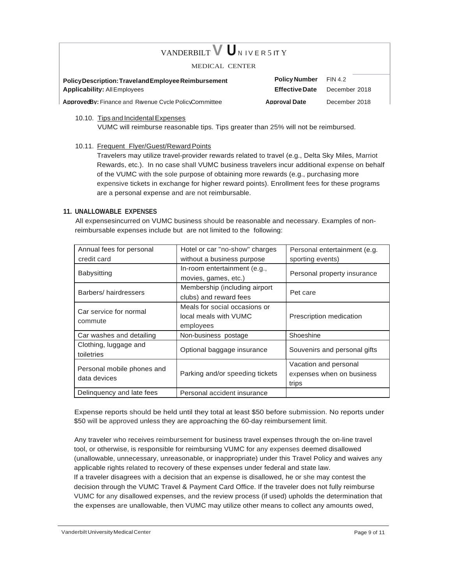# VANDERBILT **V** UNIVERSITY

#### MEDICAL CENTER

**PolicyDescription: Traveland Employee Reimbursement Policy Number** FIN 4.2 **Applicability:** AllEmployees **EffectiveDate** December 2018

**ApprovedBy:** Finance and Revenue Cycle PolicyCommittee **Approval Date** December 2018

#### 10.10. Tips and Incidental Expenses VUMC will reimburse reasonable tips. Tips greater than 25% will not be reimbursed.

10.11. Frequent Flyer/Guest/Reward Points

Travelers may utilize travel-provider rewards related to travel (e.g., Delta Sky Miles, Marriot Rewards, etc.). In no case shall VUMC business travelers incur additional expense on behalf of the VUMC with the sole purpose of obtaining more rewards (e.g., purchasing more expensive tickets in exchange for higher reward points). Enrollment fees for these programs are a personal expense and are not reimbursable.

#### **11. UNALLOWABLE EXPENSES**

All expensesincurred on VUMC business should be reasonable and necessary. Examples of nonreimbursable expenses include but are not limited to the following:

| Annual fees for personal   | Hotel or car "no-show" charges  | Personal entertainment (e.g. |  |
|----------------------------|---------------------------------|------------------------------|--|
| credit card                | without a business purpose      | sporting events)             |  |
| <b>Babysitting</b>         | In-room entertainment (e.g.,    |                              |  |
|                            | movies, games, etc.)            | Personal property insurance  |  |
| Barbers/hairdressers       | Membership (including airport   |                              |  |
|                            | clubs) and reward fees          | Pet care                     |  |
| Car service for normal     | Meals for social occasions or   |                              |  |
|                            | local meals with VUMC           | Prescription medication      |  |
| commute                    | employees                       |                              |  |
| Car washes and detailing   | Non-business postage            | Shoeshine                    |  |
| Clothing, luggage and      | Optional baggage insurance      |                              |  |
| toiletries                 |                                 | Souvenirs and personal gifts |  |
| Personal mobile phones and |                                 | Vacation and personal        |  |
| data devices               | Parking and/or speeding tickets | expenses when on business    |  |
|                            |                                 | trips                        |  |
| Delinguency and late fees  | Personal accident insurance     |                              |  |

Expense reports should be held until they total at least \$50 before submission. No reports under \$50 will be approved unless they are approaching the 60-day reimbursement limit.

Any traveler who receives reimbursement for business travel expenses through the on-line travel tool, or otherwise, is responsible for reimbursing VUMC for any expenses deemed disallowed (unallowable, unnecessary, unreasonable, or inappropriate) under this Travel Policy and waives any applicable rights related to recovery of these expenses under federal and state law. If a traveler disagrees with a decision that an expense is disallowed, he or she may contest the decision through the VUMC Travel & Payment Card Office. If the traveler does not fully reimburse VUMC for any disallowed expenses, and the review process (if used) upholds the determination that the expenses are unallowable, then VUMC may utilize other means to collect any amounts owed,

Vanderbilt University Medical Center **Page 9 of 11** National According to the Page 9 of 11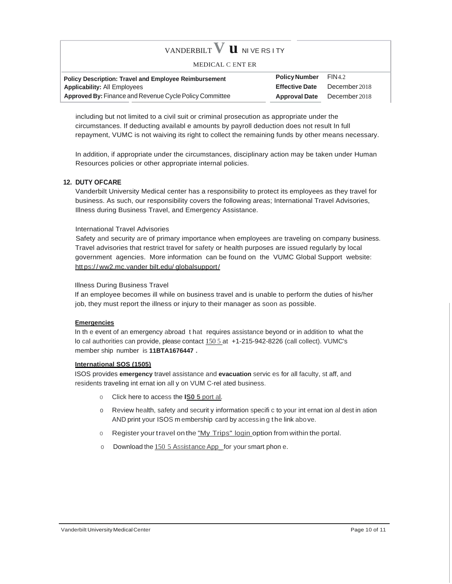| VANDERBILT $V$ <b>U</b> NIVE RS ITY                            |                             |                                    |
|----------------------------------------------------------------|-----------------------------|------------------------------------|
| MEDICAL C ENT ER                                               |                             |                                    |
| <b>Policy Description: Travel and Employee Reimbursement</b>   | <b>Policy Number</b> FIN4.2 |                                    |
| <b>Applicability: All Employees</b>                            | <b>Effective Date</b>       | December 2018                      |
| <b>Approved By:</b> Finance and Revenue Cycle Policy Committee |                             | <b>Approval Date</b> December 2018 |

including but not limited to a civil suit or criminal prosecution as appropriate under the circumstances. If deducting availabl e amounts by payroll deduction does not result In full repayment, VUMC is not waiving its right to collect the remaining funds by other means necessary.

In addition, if appropriate under the circumstances, disciplinary action may be taken under Human Resources policies or other appropriate internal policies.

#### **12. DUTY OFCARE**

Vanderbilt University Medical center has a responsibility to protect its employees as they travel for business. As such, our responsibility covers the following areas; International Travel Advisories, Illness during Business Travel, and Emergency Assistance.

#### International Travel Advisories

Safety and security are of primary importance when employees are traveling on company business. Travel advisories that restrict travel for safety or health purposes are issued regularly by local government agencies. More information can be found on the VUMC Global Support website: htt ps:/ / ww2.mc.vander bilt.edu/ globalsupport/

#### Illness During Business Travel

If an employee becomes ill while on business travel and is unable to perform the duties of his/her job, they must report the illness or injury to their manager as soon as possible.

#### **Emergencies**

In th e event of an emergency abroad t hat requires assistance beyond or in addition to what the lo cal authorities can provide, please contact 150 5 at +1-215-942-8226 (call collect). VUMC's member ship number is **11BTA1676447 .**

#### **International SOS (1505)**

ISOS provides **emergency** travel assistance and **evacuation** servic es for all faculty, st aff, and residents traveling int ernat ion all y on VUM C-rel ated business.

- o Click here to access the **IS0 5** port al.
- o Review health, safety and securit y information specifi c to your int ernat ion al dest in ation AND print your ISOS m embership card by accessin g t he link above.
- o Register your travel on the "My Trips" login option from within the portal.
- o Download the 150 5 Assistance App\_for your smart phon e.